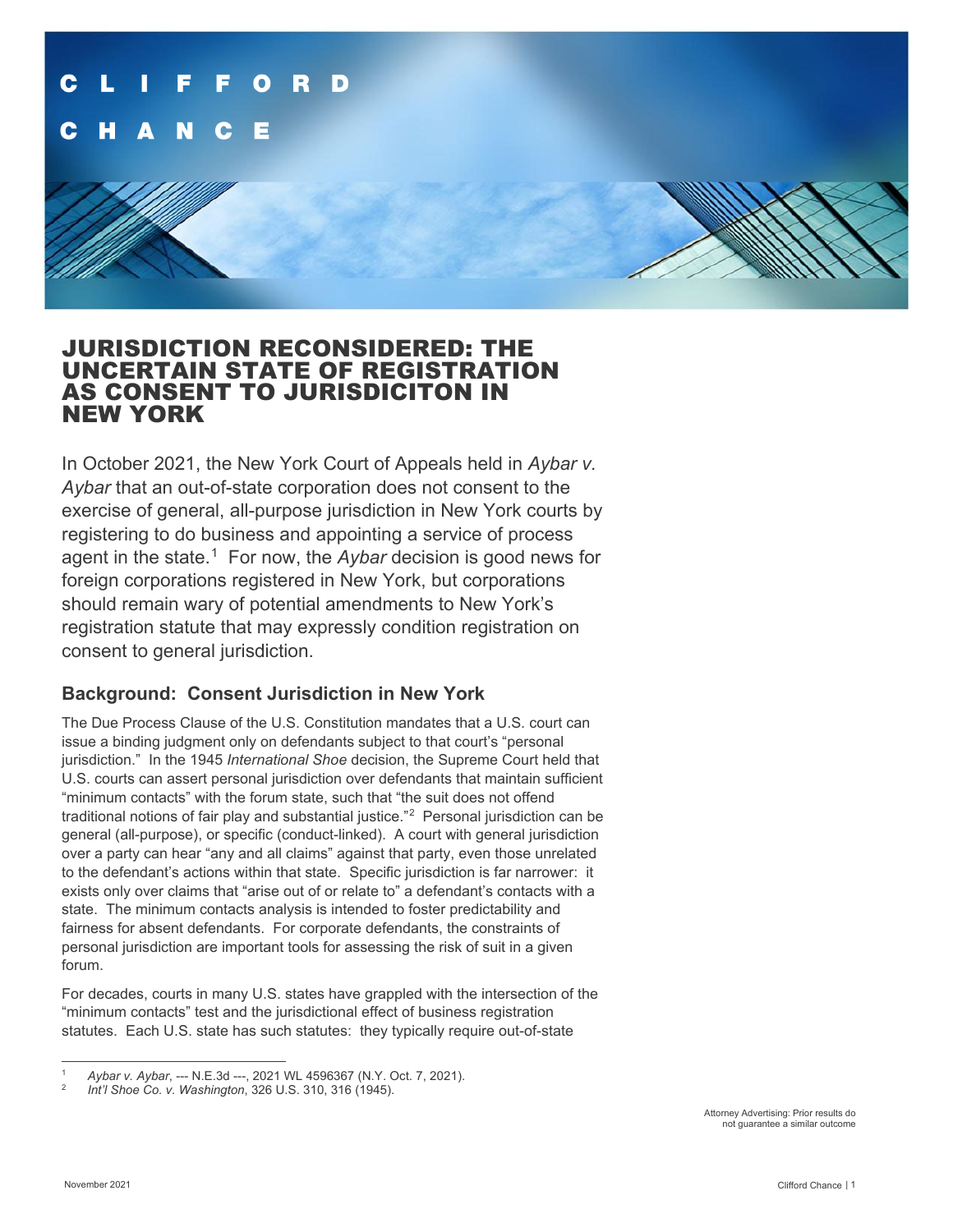

### JURISDICTION RECONSIDERED: THE UNCERTAIN STATE OF REGISTRATION AS CONSENT TO JURISDICITON IN NEW YORK

In October 2021, the New York Court of Appeals held in *Aybar v. Aybar* that an out-of-state corporation does not consent to the exercise of general, all-purpose jurisdiction in New York courts by registering to do business and appointing a service of process agent in the state.<sup>[1](#page-0-0)</sup> For now, the *Aybar* decision is good news for foreign corporations registered in New York, but corporations should remain wary of potential amendments to New York's registration statute that may expressly condition registration on consent to general jurisdiction.

#### **Background: Consent Jurisdiction in New York**

The Due Process Clause of the U.S. Constitution mandates that a U.S. court can issue a binding judgment only on defendants subject to that court's "personal jurisdiction." In the 1945 *International Shoe* decision, the Supreme Court held that U.S. courts can assert personal jurisdiction over defendants that maintain sufficient "minimum contacts" with the forum state, such that "the suit does not offend traditional notions of fair play and substantial justice."[2](#page-0-1) Personal jurisdiction can be general (all-purpose), or specific (conduct-linked). A court with general jurisdiction over a party can hear "any and all claims" against that party, even those unrelated to the defendant's actions within that state. Specific jurisdiction is far narrower: it exists only over claims that "arise out of or relate to" a defendant's contacts with a state. The minimum contacts analysis is intended to foster predictability and fairness for absent defendants. For corporate defendants, the constraints of personal jurisdiction are important tools for assessing the risk of suit in a given forum.

For decades, courts in many U.S. states have grappled with the intersection of the "minimum contacts" test and the jurisdictional effect of business registration statutes. Each U.S. state has such statutes: they typically require out-of-state

<span id="page-0-0"></span><sup>1</sup> *Aybar v. Aybar*, --- N.E.3d ---, 2021 WL 4596367 (N.Y. Oct. 7, 2021).

<span id="page-0-1"></span><sup>2</sup> *Int'l Shoe Co. v. Washington*, 326 U.S. 310, 316 (1945).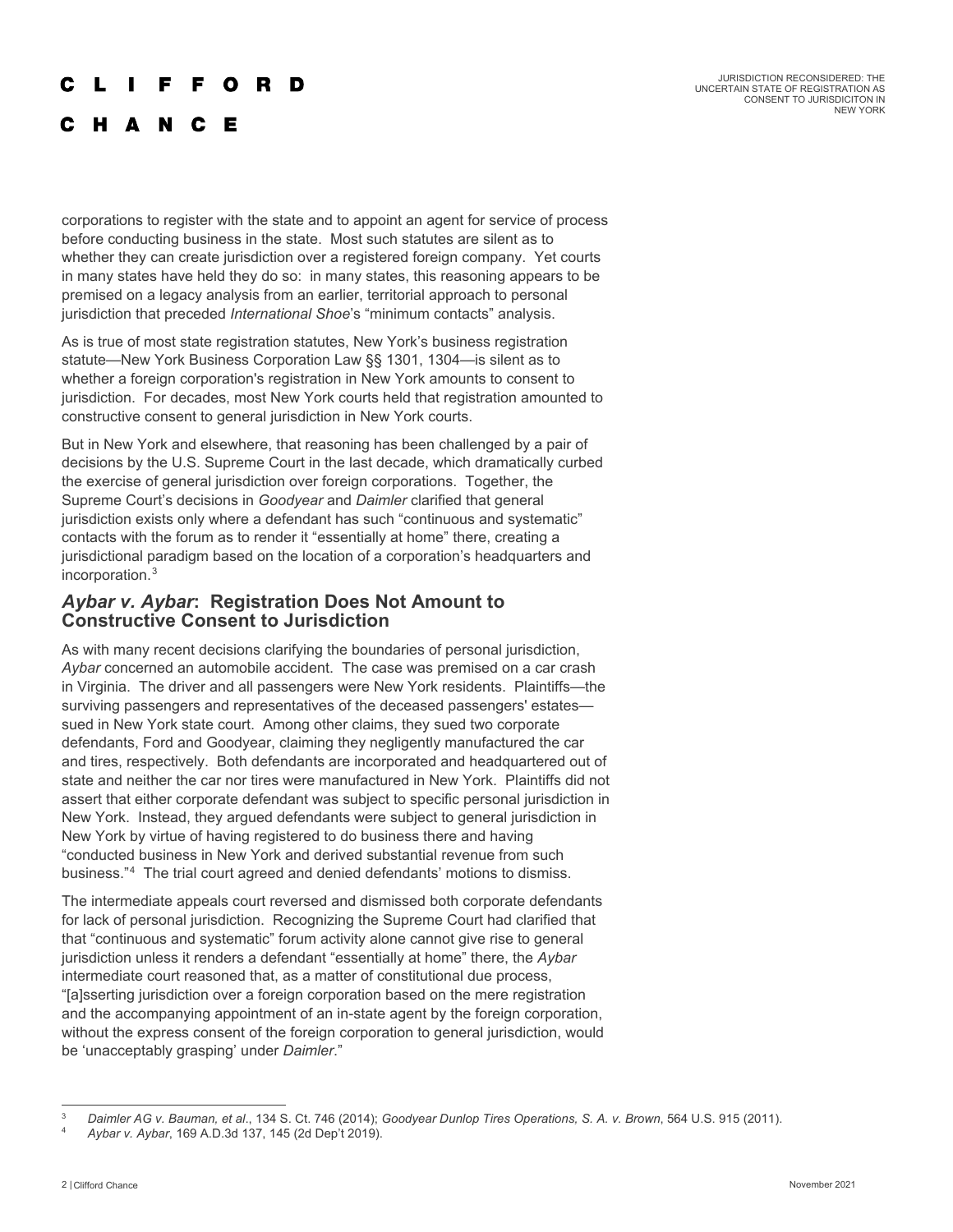#### F F O R D

JURISDICTION RECONSIDERED: THE UNCERTAIN STATE OF REGISTRATION AS CONSENT TO JURISDICITON IN NEW YORK

#### **HANCE**

corporations to register with the state and to appoint an agent for service of process before conducting business in the state. Most such statutes are silent as to whether they can create jurisdiction over a registered foreign company. Yet courts in many states have held they do so: in many states, this reasoning appears to be premised on a legacy analysis from an earlier, territorial approach to personal jurisdiction that preceded *International Shoe*'s "minimum contacts" analysis.

As is true of most state registration statutes, New York's business registration statute—New York Business Corporation Law §§ 1301, 1304—is silent as to whether a foreign corporation's registration in New York amounts to consent to jurisdiction. For decades, most New York courts held that registration amounted to constructive consent to general jurisdiction in New York courts.

But in New York and elsewhere, that reasoning has been challenged by a pair of decisions by the U.S. Supreme Court in the last decade, which dramatically curbed the exercise of general jurisdiction over foreign corporations. Together, the Supreme Court's decisions in *Goodyear* and *Daimler* clarified that general jurisdiction exists only where a defendant has such "continuous and systematic" contacts with the forum as to render it "essentially at home" there, creating a jurisdictional paradigm based on the location of a corporation's headquarters and incorporation.[3](#page-1-0)

#### *Aybar v. Aybar***: Registration Does Not Amount to Constructive Consent to Jurisdiction**

As with many recent decisions clarifying the boundaries of personal jurisdiction, *Aybar* concerned an automobile accident. The case was premised on a car crash in Virginia. The driver and all passengers were New York residents. Plaintiffs—the surviving passengers and representatives of the deceased passengers' estates sued in New York state court. Among other claims, they sued two corporate defendants, Ford and Goodyear, claiming they negligently manufactured the car and tires, respectively. Both defendants are incorporated and headquartered out of state and neither the car nor tires were manufactured in New York. Plaintiffs did not assert that either corporate defendant was subject to specific personal jurisdiction in New York. Instead, they argued defendants were subject to general jurisdiction in New York by virtue of having registered to do business there and having "conducted business in New York and derived substantial revenue from such business."[4](#page-1-1) The trial court agreed and denied defendants' motions to dismiss.

The intermediate appeals court reversed and dismissed both corporate defendants for lack of personal jurisdiction. Recognizing the Supreme Court had clarified that that "continuous and systematic" forum activity alone cannot give rise to general jurisdiction unless it renders a defendant "essentially at home" there, the *Aybar* intermediate court reasoned that, as a matter of constitutional due process, "[a]sserting jurisdiction over a foreign corporation based on the mere registration and the accompanying appointment of an in-state agent by the foreign corporation, without the express consent of the foreign corporation to general jurisdiction, would be 'unacceptably grasping' under *Daimler*."

<span id="page-1-0"></span><sup>3</sup> *Daimler AG v. Bauman, et al*., 134 S. Ct. 746 (2014); *Goodyear Dunlop Tires Operations, S. A. v. Brown*, 564 U.S. 915 (2011).

<span id="page-1-1"></span><sup>4</sup> *Aybar v. Aybar*, 169 A.D.3d 137, 145 (2d Dep't 2019).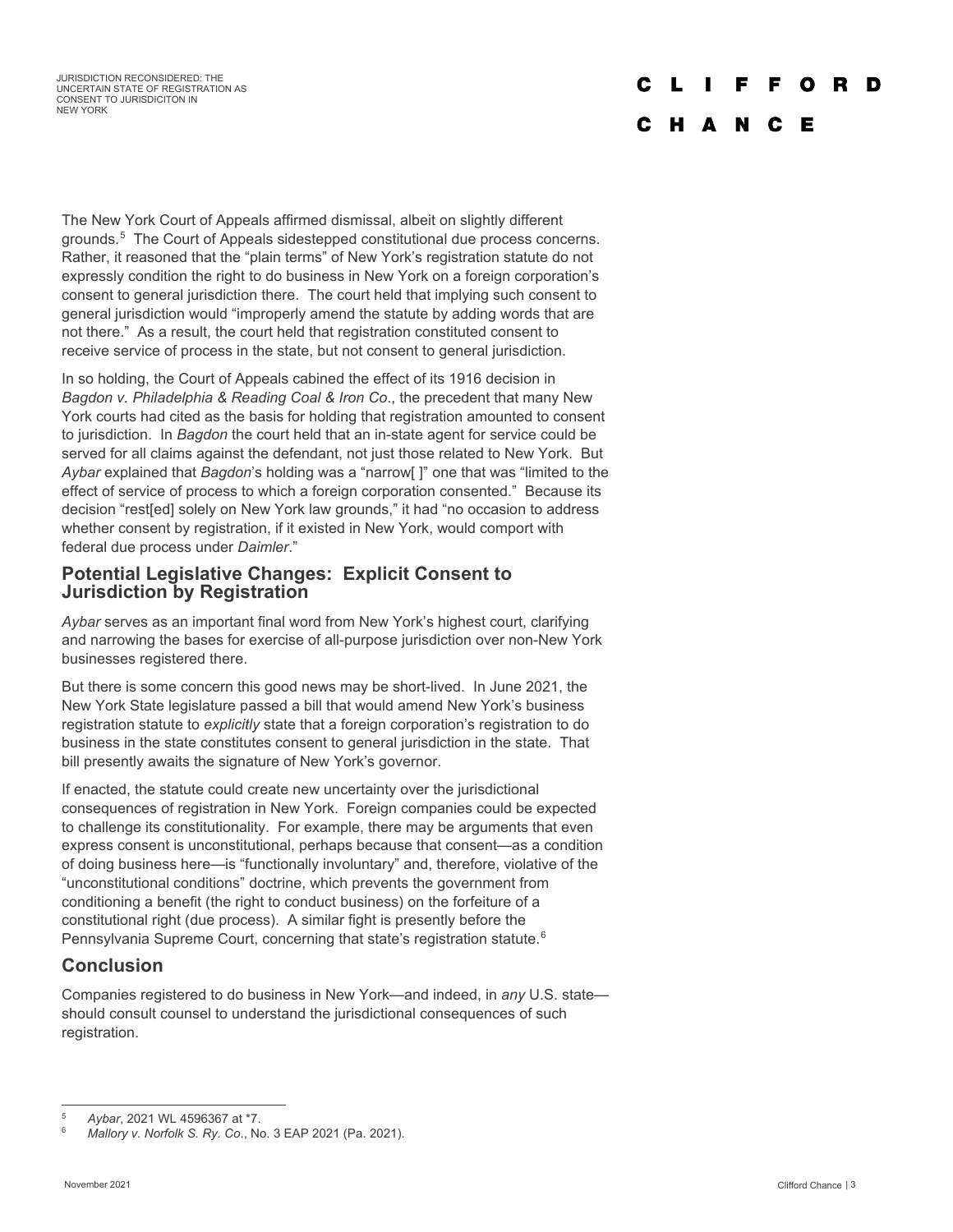#### $\mathbf{L}$ F F O **D** D

#### C H A N C E

The New York Court of Appeals affirmed dismissal, albeit on slightly different grounds.[5](#page-2-0) The Court of Appeals sidestepped constitutional due process concerns. Rather, it reasoned that the "plain terms" of New York's registration statute do not expressly condition the right to do business in New York on a foreign corporation's consent to general jurisdiction there. The court held that implying such consent to general jurisdiction would "improperly amend the statute by adding words that are not there." As a result, the court held that registration constituted consent to receive service of process in the state, but not consent to general jurisdiction.

In so holding, the Court of Appeals cabined the effect of its 1916 decision in *Bagdon v. Philadelphia & Reading Coal & Iron Co*., the precedent that many New York courts had cited as the basis for holding that registration amounted to consent to jurisdiction. In *Bagdon* the court held that an in-state agent for service could be served for all claims against the defendant, not just those related to New York. But *Aybar* explained that *Bagdon*'s holding was a "narrow[ ]" one that was "limited to the effect of service of process to which a foreign corporation consented." Because its decision "rest[ed] solely on New York law grounds," it had "no occasion to address whether consent by registration, if it existed in New York, would comport with federal due process under *Daimler*."

#### **Potential Legislative Changes: Explicit Consent to Jurisdiction by Registration**

*Aybar* serves as an important final word from New York's highest court, clarifying and narrowing the bases for exercise of all-purpose jurisdiction over non-New York businesses registered there.

But there is some concern this good news may be short-lived. In June 2021, the New York State legislature passed a bill that would amend New York's business registration statute to *explicitly* state that a foreign corporation's registration to do business in the state constitutes consent to general jurisdiction in the state. That bill presently awaits the signature of New York's governor.

If enacted, the statute could create new uncertainty over the jurisdictional consequences of registration in New York. Foreign companies could be expected to challenge its constitutionality. For example, there may be arguments that even express consent is unconstitutional, perhaps because that consent—as a condition of doing business here—is "functionally involuntary" and, therefore, violative of the "unconstitutional conditions" doctrine, which prevents the government from conditioning a benefit (the right to conduct business) on the forfeiture of a constitutional right (due process). A similar fight is presently before the Pennsylvania Supreme Court, concerning that state's registration statute.<sup>[6](#page-2-1)</sup>

### **Conclusion**

Companies registered to do business in New York—and indeed, in *any* U.S. state should consult counsel to understand the jurisdictional consequences of such registration.

<span id="page-2-0"></span><sup>5</sup> *Aybar*, 2021 WL 4596367 at \*7.

<span id="page-2-1"></span><sup>6</sup> *Mallory v. Norfolk S. Ry. Co*., No. 3 EAP 2021 (Pa. 2021).